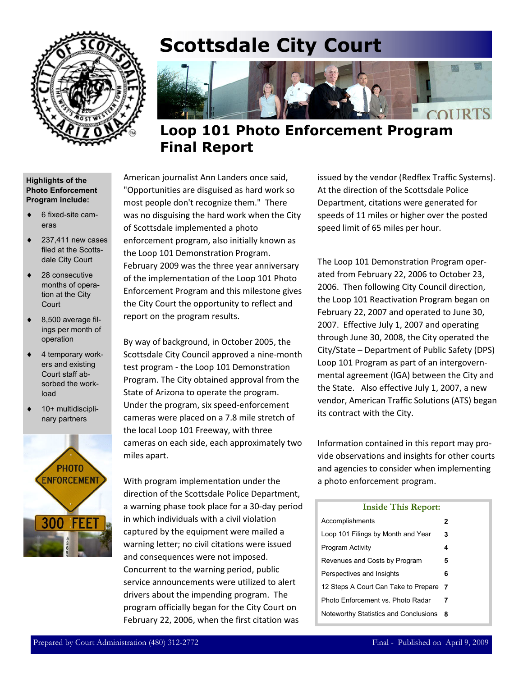

# **Scottsdale City Court**



## **Loop 101 Photo Enforcement Program Final Report**

#### **Highlights of the Photo Enforcement Program include:**

- ♦ 6 fixed-site cameras
- $\triangleleft$  237,411 new cases filed at the Scottsdale City Court
- ♦ 28 consecutive months of operation at the City **Court**
- $\bullet$  8,500 average filings per month of operation
- 4 temporary workers and existing Court staff absorbed the workload
- 10+ multidisciplinary partners



American journalist Ann Landers once said, "Opportunities are disguised as hard work so most people don't recognize them." There was no disguising the hard work when the City of Scottsdale implemented a photo enforcement program, also initially known as the Loop 101 Demonstration Program. February 2009 was the three year anniversary of the implementation of the Loop 101 Photo Enforcement Program and this milestone gives the City Court the opportunity to reflect and report on the program results.

By way of background, in October 2005, the Scottsdale City Council approved a nine-month test program - the Loop 101 Demonstration Program. The City obtained approval from the State of Arizona to operate the program. Under the program, six speed-enforcement cameras were placed on a 7.8 mile stretch of the local Loop 101 Freeway, with three cameras on each side, each approximately two miles apart.

With program implementation under the direction of the Scottsdale Police Department, a warning phase took place for a 30-day period in which individuals with a civil violation captured by the equipment were mailed a warning letter; no civil citations were issued and consequences were not imposed. Concurrent to the warning period, public service announcements were utilized to alert drivers about the impending program. The program officially began for the City Court on February 22, 2006, when the first citation was

issued by the vendor (Redflex Traffic Systems). At the direction of the Scottsdale Police Department, citations were generated for speeds of 11 miles or higher over the posted speed limit of 65 miles per hour.

The Loop 101 Demonstration Program operated from February 22, 2006 to October 23, 2006. Then following City Council direction, the Loop 101 Reactivation Program began on February 22, 2007 and operated to June 30, 2007. Effective July 1, 2007 and operating through June 30, 2008, the City operated the City/State – Department of Public Safety (DPS) Loop 101 Program as part of an intergovernmental agreement (IGA) between the City and the State. Also effective July 1, 2007, a new vendor, American Traffic Solutions (ATS) began its contract with the City.

Information contained in this report may provide observations and insights for other courts and agencies to consider when implementing a photo enforcement program.

### Accomplishments **2**  Loop 101 Filings by Month and Year **3**  Program Activity **4**  Revenues and Costs by Program **5**  Perspectives and Insights **6**  12 Steps A Court Can Take to Prepare **7**  Noteworthy Statistics and Conclusions **8**  Photo Enforcement vs. Photo Radar **7 Inside This Report:**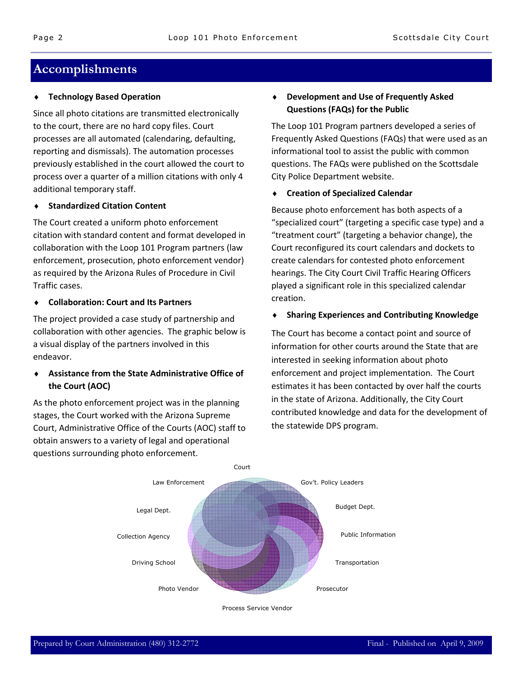## **Accomplishments**

### **Technology Based Operation**

Since all photo citations are transmitted electronically to the court, there are no hard copy files. Court processes are all automated (calendaring, defaulting, reporting and dismissals). The automation processes previously established in the court allowed the court to process over a quarter of a million citations with only 4 additional temporary staff.

#### **Standardized Citation Content**

The Court created a uniform photo enforcement citation with standard content and format developed in collaboration with the Loop 101 Program partners (law enforcement, prosecution, photo enforcement vendor) as required by the Arizona Rules of Procedure in Civil Traffic cases.

### ♦ **Collaboration: Court and Its Partners**

The project provided a case study of partnership and collaboration with other agencies. The graphic below is a visual display of the partners involved in this endeavor.

### ♦ **Assistance from the State Administrative Office of the Court (AOC)**

As the photo enforcement project was in the planning stages, the Court worked with the Arizona Supreme Court, Administrative Office of the Courts (AOC) staff to obtain answers to a variety of legal and operational questions surrounding photo enforcement.

### ♦ **Development and Use of Frequently Asked Questions (FAQs) for the Public**

The Loop 101 Program partners developed a series of Frequently Asked Questions (FAQs) that were used as an informational tool to assist the public with common questions. The FAQs were published on the Scottsdale City Police Department website.

#### ♦ **Creation of Specialized Calendar**

Because photo enforcement has both aspects of a "specialized court" (targeting a specific case type) and a "treatment court" (targeting a behavior change), the Court reconfigured its court calendars and dockets to create calendars for contested photo enforcement hearings. The City Court Civil Traffic Hearing Officers played a significant role in this specialized calendar creation.

#### ♦ **Sharing Experiences and Contributing Knowledge**

The Court has become a contact point and source of information for other courts around the State that are interested in seeking information about photo enforcement and project implementation. The Court estimates it has been contacted by over half the courts in the state of Arizona. Additionally, the City Court contributed knowledge and data for the development of the statewide DPS program.



Process Service Vendor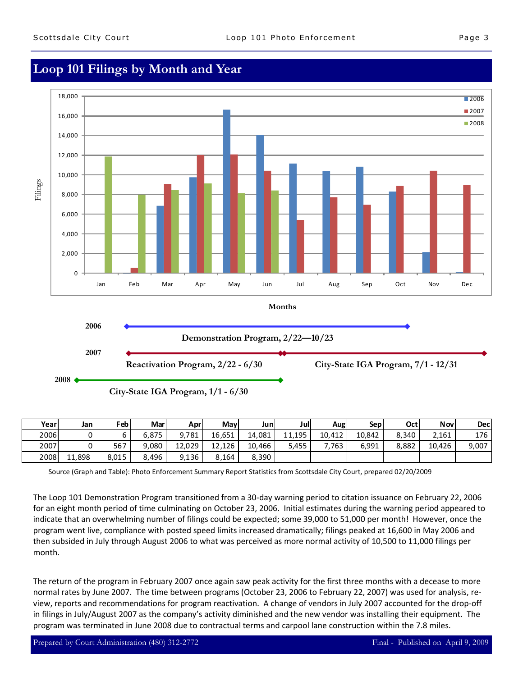## **Loop 101 Filings by Month and Year**



| Yearl | Janl   | Feb <sup>1</sup> | Mar   | Aprl   | Mayl   | Junl   | Jul    | Aug    | <b>Sepi</b> | Octl  | <b>Nov</b> | <b>Decl</b> |
|-------|--------|------------------|-------|--------|--------|--------|--------|--------|-------------|-------|------------|-------------|
| 2006  |        |                  | 6.875 | 9.781  | 16,651 | 14,081 | 11.195 | 10.412 | 10.842      | 8.340 | 2.161      | 176         |
| 2007  |        | 567              | 9.080 | 12,029 | 12,126 | 10,466 | 5,455  | 763,   | 6.991       | 8.882 | 10,426     | 9,007       |
| 2008  | 11,898 | 8,015            | 8,496 | 9,136  | 8.164  | 8,390  |        |        |             |       |            |             |

Source (Graph and Table): Photo Enforcement Summary Report Statistics from Scottsdale City Court, prepared 02/20/2009

The Loop 101 Demonstration Program transitioned from a 30-day warning period to citation issuance on February 22, 2006 for an eight month period of time culminating on October 23, 2006. Initial estimates during the warning period appeared to indicate that an overwhelming number of filings could be expected; some 39,000 to 51,000 per month! However, once the program went live, compliance with posted speed limits increased dramatically; filings peaked at 16,600 in May 2006 and then subsided in July through August 2006 to what was perceived as more normal activity of 10,500 to 11,000 filings per month.

The return of the program in February 2007 once again saw peak activity for the first three months with a decease to more normal rates by June 2007. The time between programs (October 23, 2006 to February 22, 2007) was used for analysis, review, reports and recommendations for program reactivation. A change of vendors in July 2007 accounted for the drop-off in filings in July/August 2007 as the company's activity diminished and the new vendor was installing their equipment. The program was terminated in June 2008 due to contractual terms and carpool lane construction within the 7.8 miles.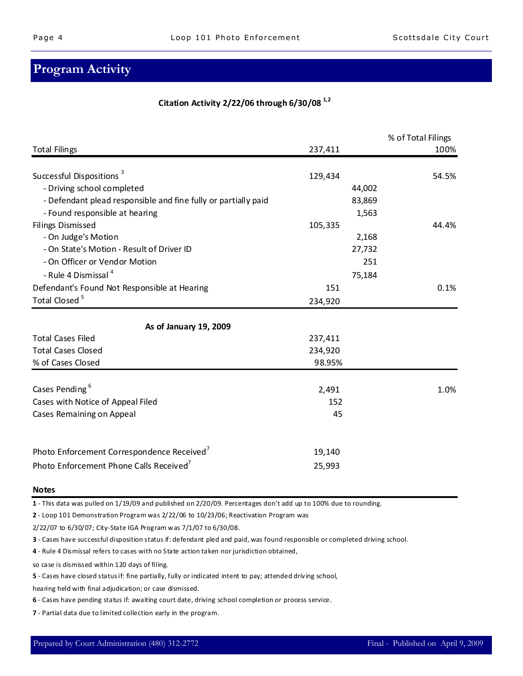## **Program Activity**

### **Citation Activity 2/22/06 through 6/30/08 1,2**

|                                                                |         | % of Total Filings |
|----------------------------------------------------------------|---------|--------------------|
| <b>Total Filings</b>                                           | 237,411 | 100%               |
| Successful Dispositions <sup>3</sup>                           | 129,434 | 54.5%              |
| - Driving school completed                                     | 44,002  |                    |
| - Defendant plead responsible and fine fully or partially paid | 83,869  |                    |
| - Found responsible at hearing                                 | 1,563   |                    |
| <b>Filings Dismissed</b>                                       | 105,335 | 44.4%              |
| - On Judge's Motion                                            | 2,168   |                    |
| - On State's Motion - Result of Driver ID                      | 27,732  |                    |
| - On Officer or Vendor Motion                                  |         | 251                |
| - Rule 4 Dismissal <sup>4</sup>                                | 75,184  |                    |
| Defendant's Found Not Responsible at Hearing                   | 151     | 0.1%               |
| Total Closed <sup>5</sup>                                      | 234,920 |                    |
| As of January 19, 2009                                         |         |                    |
| <b>Total Cases Filed</b>                                       | 237,411 |                    |
| <b>Total Cases Closed</b>                                      | 234,920 |                    |
| % of Cases Closed                                              | 98.95%  |                    |
| Cases Pending <sup>6</sup>                                     | 2,491   | 1.0%               |
| Cases with Notice of Appeal Filed                              | 152     |                    |
| Cases Remaining on Appeal                                      | 45      |                    |
| Photo Enforcement Correspondence Received                      | 19,140  |                    |
| Photo Enforcement Phone Calls Received <sup>7</sup>            | 25,993  |                    |

#### **Notes**

**1** - This data was pulled on 1/19/09 and published on 2/20/09. Percentages don't add up to 100% due to rounding.

**2** - Loop 101 Demonstration Program was 2/22/06 to 10/23/06; Reactivation Program was

2/22/07 to 6/30/07; City-State IGA Program was 7/1/07 to 6/30/08.

**3** - Cases have successful disposition status if: defendant pled and paid, was found responsible or completed driving school.

**4** - Rule 4 Dismissal refers to cases with no State action taken nor jurisdiction obtained,

so case is dismissed within 120 days of filing.

**5** - Cases have closed status if: fine partially, fully or indicated intent to pay; attended driving school,

hearing held with final adjudication; or case dismissed.

**6** - Cases have pending status if: awaiting court date, driving school completion or process service.

**7** - Partial data due to limited collection early in the program.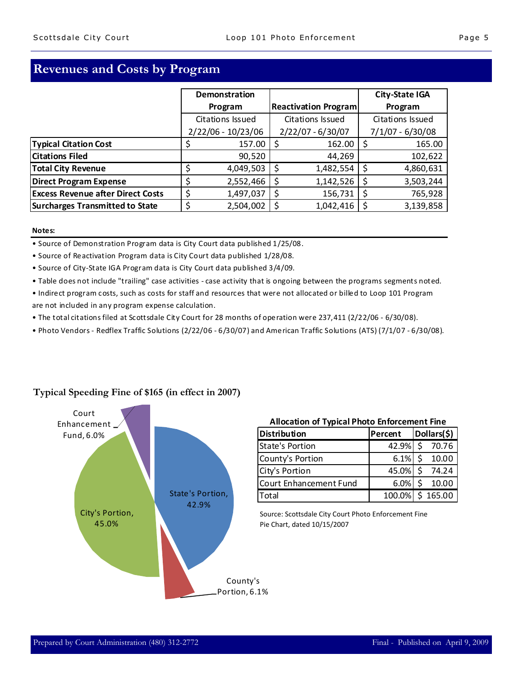## **Revenues and Costs by Program**

|                                          | Demonstration                        |                             | City-State IGA     |  |
|------------------------------------------|--------------------------------------|-----------------------------|--------------------|--|
|                                          | Program                              | <b>Reactivation Program</b> | Program            |  |
|                                          | Citations Issued<br>Citations Issued |                             | Citations Issued   |  |
|                                          | $2/22/06 - 10/23/06$                 | $2/22/07 - 6/30/07$         | $7/1/07 - 6/30/08$ |  |
| <b>Typical Citation Cost</b>             | 157.00                               | 162.00                      | 165.00             |  |
| <b>Citations Filed</b>                   | 90,520                               | 44,269                      | 102,622            |  |
| <b>Total City Revenue</b>                | 4,049,503                            | 1,482,554<br>S              | 4,860,631          |  |
| <b>Direct Program Expense</b>            | 2,552,466                            | 1,142,526                   | 3,503,244          |  |
| <b>Excess Revenue after Direct Costs</b> | \$<br>1,497,037                      | 156,731<br>\$               | 765,928            |  |
| Surcharges Transmitted to State          | 2,504,002<br>\$                      | 1,042,416                   | 3,139,858          |  |

#### **Notes:**

• Source of Demonstration Program data is City Court data published 1/25/08.

- Source of Reactivation Program data is City Court data published 1/28/08.
- Source of City-State IGA Program data is City Court data published 3/4/09.
- Table does not include "trailing" case activities case activity that is ongoing between the programs segments noted.
- Indirect program costs, such as costs for staff and resources that were not allocated or billed to Loop 101 Program are not included in any program expense calculation.
- The total citations filed at Scottsdale City Court for 28 months of operation were 237,411 (2/22/06 6/30/08).
- Photo Vendors Redflex Traffic Solutions (2/22/06 6/30/07) and American Traffic Solutions (ATS) (7/1/07 6/30/08).



### **Typical Speeding Fine of \$165 (in effect in 2007)**

| <b>Allocation of Typical Photo Enforcement Fine</b> |  |
|-----------------------------------------------------|--|
|-----------------------------------------------------|--|

| <b>Distribution</b>    | Percent | Dollars(\$)                    |  |  |
|------------------------|---------|--------------------------------|--|--|
| State's Portion        | 42.9%   | -Ś<br>70.76                    |  |  |
| County's Portion       | 6.1%    | 10.00                          |  |  |
| City's Portion         | 45.0%   | Ś.<br>74.24                    |  |  |
| Court Enhancement Fund | 6.0%    | $\zeta$<br>10.00               |  |  |
| Total                  |         | $\overline{100.0\%}$ \$ 165.00 |  |  |

Source: Scottsdale City Court Photo Enforcement Fine Pie Chart, dated 10/15/2007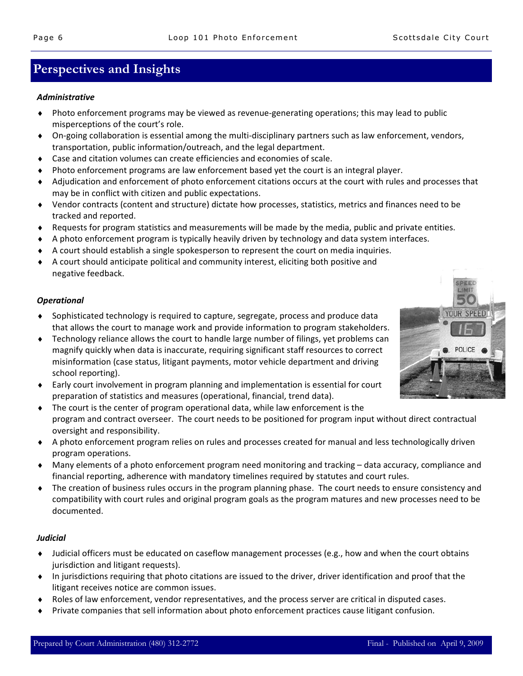## **Perspectives and Insights**

#### *Administrative*

- ♦ Photo enforcement programs may be viewed as revenue-generating operations; this may lead to public misperceptions of the court's role.
- ♦ On-going collaboration is essential among the multi-disciplinary partners such as law enforcement, vendors, transportation, public information/outreach, and the legal department.
- ♦ Case and citation volumes can create efficiencies and economies of scale.
- ♦ Photo enforcement programs are law enforcement based yet the court is an integral player.
- ♦ Adjudication and enforcement of photo enforcement citations occurs at the court with rules and processes that may be in conflict with citizen and public expectations.
- ♦ Vendor contracts (content and structure) dictate how processes, statistics, metrics and finances need to be tracked and reported.
- ♦ Requests for program statistics and measurements will be made by the media, public and private entities.
- ♦ A photo enforcement program is typically heavily driven by technology and data system interfaces.
- ♦ A court should establish a single spokesperson to represent the court on media inquiries.
- ♦ A court should anticipate political and community interest, eliciting both positive and negative feedback.

### *Operational*

- ♦ Sophisticated technology is required to capture, segregate, process and produce data that allows the court to manage work and provide information to program stakeholders.
- ♦ Technology reliance allows the court to handle large number of filings, yet problems can magnify quickly when data is inaccurate, requiring significant staff resources to correct misinformation (case status, litigant payments, motor vehicle department and driving school reporting).
- ♦ Early court involvement in program planning and implementation is essential for court preparation of statistics and measures (operational, financial, trend data).
- ♦ The court is the center of program operational data, while law enforcement is the program and contract overseer. The court needs to be positioned for program input without direct contractual oversight and responsibility.
- ♦ A photo enforcement program relies on rules and processes created for manual and less technologically driven program operations.
- ♦ Many elements of a photo enforcement program need monitoring and tracking data accuracy, compliance and financial reporting, adherence with mandatory timelines required by statutes and court rules.
- ♦ The creation of business rules occurs in the program planning phase. The court needs to ensure consistency and compatibility with court rules and original program goals as the program matures and new processes need to be documented.

### *Judicial*

- ♦ Judicial officers must be educated on caseflow management processes (e.g., how and when the court obtains jurisdiction and litigant requests).
- ♦ In jurisdictions requiring that photo citations are issued to the driver, driver identification and proof that the litigant receives notice are common issues.
- ♦ Roles of law enforcement, vendor representatives, and the process server are critical in disputed cases.
- ♦ Private companies that sell information about photo enforcement practices cause litigant confusion.

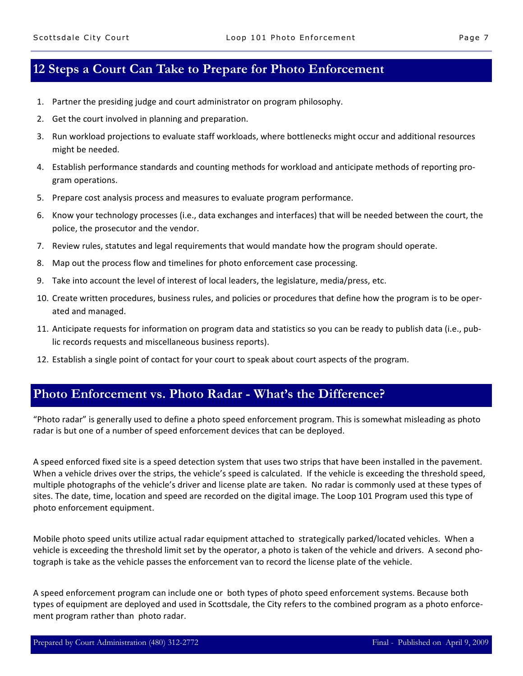## **12 Steps a Court Can Take to Prepare for Photo Enforcement**

- 1. Partner the presiding judge and court administrator on program philosophy.
- 2. Get the court involved in planning and preparation.
- 3. Run workload projections to evaluate staff workloads, where bottlenecks might occur and additional resources might be needed.
- 4. Establish performance standards and counting methods for workload and anticipate methods of reporting program operations.
- 5. Prepare cost analysis process and measures to evaluate program performance.
- 6. Know your technology processes (i.e., data exchanges and interfaces) that will be needed between the court, the police, the prosecutor and the vendor.
- 7. Review rules, statutes and legal requirements that would mandate how the program should operate.
- 8. Map out the process flow and timelines for photo enforcement case processing.
- 9. Take into account the level of interest of local leaders, the legislature, media/press, etc.
- 10. Create written procedures, business rules, and policies or procedures that define how the program is to be operated and managed.
- 11. Anticipate requests for information on program data and statistics so you can be ready to publish data (i.e., public records requests and miscellaneous business reports).
- 12. Establish a single point of contact for your court to speak about court aspects of the program.

### **Photo Enforcement vs. Photo Radar - What's the Difference?**

"Photo radar" is generally used to define a photo speed enforcement program. This is somewhat misleading as photo radar is but one of a number of speed enforcement devices that can be deployed.

A speed enforced fixed site is a speed detection system that uses two strips that have been installed in the pavement. When a vehicle drives over the strips, the vehicle's speed is calculated. If the vehicle is exceeding the threshold speed, multiple photographs of the vehicle's driver and license plate are taken. No radar is commonly used at these types of sites. The date, time, location and speed are recorded on the digital image. The Loop 101 Program used this type of photo enforcement equipment.

Mobile photo speed units utilize actual radar equipment attached to strategically parked/located vehicles. When a vehicle is exceeding the threshold limit set by the operator, a photo is taken of the vehicle and drivers. A second photograph is take as the vehicle passes the enforcement van to record the license plate of the vehicle.

A speed enforcement program can include one or both types of photo speed enforcement systems. Because both types of equipment are deployed and used in Scottsdale, the City refers to the combined program as a photo enforcement program rather than photo radar.